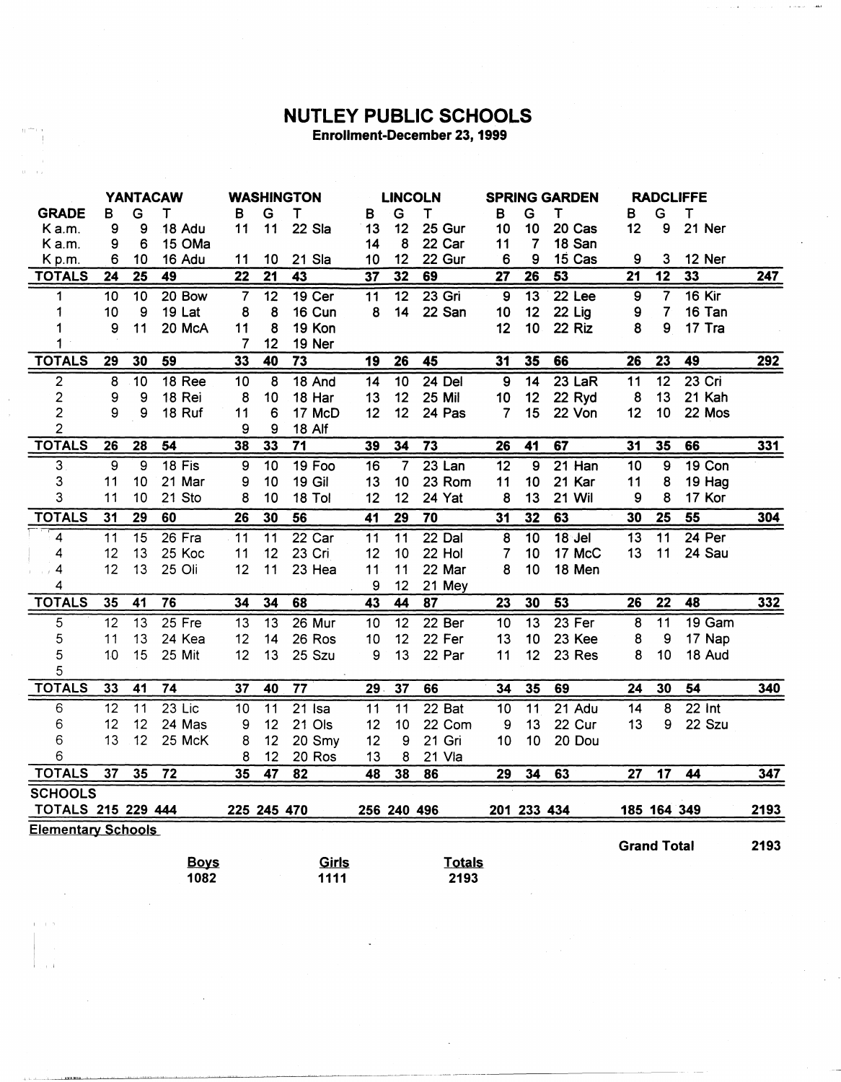## **NUTLEY PUBLIC SCHOOLS** Enrollment-December 23, 1999

|                           | <b>YANTACAW</b> |                 | <b>WASHINGTON</b>   |                 | <b>LINCOLN</b>  |                 | <b>SPRING GARDEN</b> |                 |                       | <b>RADCLIFFE</b> |                 |               |                    |                 |                   |            |
|---------------------------|-----------------|-----------------|---------------------|-----------------|-----------------|-----------------|----------------------|-----------------|-----------------------|------------------|-----------------|---------------|--------------------|-----------------|-------------------|------------|
| <b>GRADE</b>              | B               | G               | Т                   | в               | Ġ               | $\mathsf T$     | В                    | G               | T                     | в                | G               | $\mathsf T$   | в                  | G               | $\mathsf T$       |            |
| K a.m.                    | 9               | 9               | 18 Adu              | 11              | 11              | 22 Sla          | 13                   | 12              | 25 Gur                | 10               | 10              | 20 Cas        | 12                 | 9               | 21 Ner            |            |
| K a.m.                    | 9               | 6               | 15 OMa              |                 |                 |                 | 14                   | 8               | 22 Car                | 11               | 7               | 18 San        |                    |                 |                   |            |
| Kp.m.                     | 6               | 10              | 16 Adu              | 11              | 10              | 21 Sla          | 10                   | 12              | 22 Gur                | 6                | 9               | 15 Cas        | 9                  | 3               | 12 Ner            |            |
| <b>TOTALS</b>             | $\overline{24}$ | $\overline{25}$ | 49                  | $\overline{22}$ | $\overline{21}$ | $\overline{43}$ | $\overline{37}$      | 32              | 69                    | $\overline{27}$  | 26              | 53            | $\overline{21}$    | $\overline{12}$ | 33                | 247        |
| 1                         | 10              | 10              | 20 Bow              | $\overline{7}$  | $\overline{12}$ | $19$ Cer        | $\overline{11}$      | 12              | $23$ Gri              | $\overline{9}$   | 13              | $22$ Lee      | $\overline{9}$     | $\overline{7}$  | <b>16 Kir</b>     |            |
| 1                         | 10              | 9               | 19 Lat              | 8               | 8               | 16 Cun          | 8                    | 14              | 22 San                | 10               | 12              | $22$ Lig      | 9                  | $\overline{7}$  | 16 Tan            |            |
|                           | 9               | 11              | 20 McA              | 11              | 8               | 19 Kon          |                      |                 |                       | 12               | 10              | 22 Riz        | 8                  | 9               | 17 Tra            |            |
| 1                         |                 |                 |                     | $\overline{7}$  | 12              | 19 Ner          |                      |                 |                       |                  |                 |               |                    |                 |                   |            |
| <b>TOTALS</b>             | 29              | 30              | 59                  | 33              | 40              | $\overline{73}$ | 19                   | 26              | 45                    | $\overline{31}$  | 35              | 66            | 26                 | 23              | 49                | 292        |
| $\overline{2}$            | 8               | $\overline{10}$ | 18 Ree              | 10              | 8               | 18 And          | $\overline{14}$      | $\overline{10}$ | $24$ Del              | 9                | $\overline{14}$ | $23$ LaR      | 11                 | 12              | $23$ Cri          |            |
| $\overline{\mathbf{c}}$   | 9               | 9               | 18 Rei              | 8               | 10              | 18 Har          | 13                   | 12              | <b>25 Mil</b>         | 10               | 12              | 22 Ryd        | 8                  | 13              | 21 Kah            |            |
| $\overline{2}$            | 9               | 9               | 18 Ruf              | 11              | 6               | 17 McD          | 12                   | 12              | 24 Pas                | 7                | 15              | 22 Von        | 12                 | 10              | 22 Mos            |            |
| 2                         |                 |                 |                     | 9               | 9               | <b>18 Alf</b>   |                      |                 |                       |                  |                 |               |                    |                 |                   |            |
| <b>TOTALS</b>             | 26              | 28              | $\overline{54}$     | 38              | 33              | $\overline{71}$ | 39                   | 34              | $\overline{73}$       | 26               | 41              | 67            | 31                 | 35              | 66                | 331        |
| 3                         | 9               | $\overline{9}$  | $18$ Fis            | 9               | $\overline{10}$ | 19 Foo          | 16                   | $\overline{7}$  | $23$ Lan              | $\overline{12}$  | $\overline{9}$  | $21$ Han      | 10                 | 9               | <b>19 Con</b>     |            |
| 3                         | 11              | 10              | 21 Mar              | 9               | 10              | <b>19 Gil</b>   | 13                   | 10              | 23 Rom                | 11               | 10              | 21 Kar        | 11                 | 8               | 19 Hag            |            |
| 3                         | 11              | 10              | 21 Sto              | 8               | 10              | 18 Tol          | 12                   | 12              | 24 Yat                | 8                | 13              | <b>21 Wil</b> | 9                  | 8               | 17 Kor            |            |
| <b>TOTALS</b>             | 31              | 29              | 60                  | 26              | 30              | 56              | 41                   | 29              | $\overline{70}$       | 31               | 32              | 63            | 30                 | 25              | 55                | <u>304</u> |
| $\overline{\mathbf{4}}$   | $\overline{11}$ | 15              | 26 Fra              | 11              | 11              | 22 Car          | 11                   | $\overline{11}$ | $22$ Dal              | 8                | $\overline{10}$ | $18$ Jel      | 13                 | 11              | $24$ Per          |            |
| 4                         | 12              | 13              | 25 Koc              | 11              | 12              | 23 Cri          | 12                   | 10              | 22 Hol                | 7                | 10              | 17 McC        | 13                 | 11              | 24 Sau            |            |
| 4                         | 12              | 13              | 25 Oli              | 12              | 11              | 23 Hea          | 11                   | 11              | 22 Mar                | 8                | 10              | 18 Men        |                    |                 |                   |            |
| 4                         |                 |                 |                     |                 |                 |                 | 9                    | 12              | 21 Mey                |                  |                 |               |                    |                 |                   |            |
| <b>TOTALS</b>             | 35              | 41              | 76                  | 34              | 34              | 68              | $\overline{43}$      | 44              | $\overline{87}$       | $\overline{23}$  | 30              | 53            | 26                 | $\overline{22}$ | 48                | <u>332</u> |
| 5                         | $\overline{12}$ | $\overline{13}$ | $25$ Fre            | 13              | $\overline{13}$ | $26$ Mur        | $\overline{10}$      | $\overline{12}$ | 22 Ber                | $\overline{10}$  |                 | 23 Fer        | $\overline{8}$     | $\overline{11}$ | 19 <sub>Gam</sub> |            |
| 5                         | 11              |                 |                     |                 |                 |                 |                      |                 |                       |                  | $\overline{13}$ |               |                    |                 |                   |            |
|                           |                 | 13              | 24 Kea              | 12              | 14              | 26 Ros          | 10                   | 12              | 22 Fer                | 13               | 10              | 23 Kee        | 8                  | 9               | 17 Nap            |            |
| 5                         | 10              | 15              | 25 Mit              | 12              | 13              | 25 Szu          | 9                    | 13              | 22 Par                | 11               | 12              | 23 Res        | 8                  | 10              | 18 Aud            |            |
| 5                         |                 |                 |                     |                 |                 |                 |                      |                 |                       |                  |                 |               |                    |                 |                   |            |
| <b>TOTALS</b>             | 33              | 41              | 74                  | 37              | 40              | $\overline{77}$ | 29.                  | 37              | 66                    | 34               | 35              | 69            | 24                 | 30              | $\overline{54}$   | 340        |
| 6                         | 12              | 11              | $23$ Lic            | 10              | $\overline{11}$ | $21$ Isa        | 11                   | $\overline{11}$ | 22 Bat                | 10               | $\overline{11}$ | $21$ Adu      | 14                 | 8               | $22$ Int          |            |
| 6                         | 12              | 12              | 24 Mas              | 9               | 12              | 21 Ols          | 12                   | 10              | 22 Com                | 9                | 13              | 22 Cur        | 13                 | 9               | 22 Szu            |            |
| 6                         | 13              | 12              | 25 McK              | 8               | 12              | 20 Smy          | 12                   | 9               | 21 Gri                | 10               | 10              | 20 Dou        |                    |                 |                   |            |
| 6                         |                 |                 |                     | 8               | 12              | 20 Ros          | 13                   | 8               | 21 Vla                |                  |                 |               |                    |                 |                   |            |
| <b>TOTALS</b>             | 37              | 35              | $\overline{72}$     | 35              | 47              | 82              | 48                   | 38              | 86                    | 29               | 34              | 63            | 27                 | $\overline{17}$ | 44                | 347        |
| <b>SCHOOLS</b>            |                 |                 |                     |                 |                 |                 |                      |                 |                       |                  |                 |               |                    |                 |                   |            |
| <b>TOTALS 215 229 444</b> |                 |                 |                     | 225 245 470     |                 |                 |                      | 256 240 496     |                       |                  | 201 233 434     |               | 185 164 349        |                 |                   | 2193       |
| <b>Elementary Schools</b> |                 |                 |                     |                 |                 |                 |                      |                 |                       |                  |                 |               |                    |                 |                   |            |
|                           |                 |                 |                     |                 |                 |                 |                      |                 |                       |                  |                 |               | <b>Grand Total</b> |                 |                   | 2193       |
|                           |                 |                 | <b>Boys</b><br>1082 |                 |                 | Girls<br>1111   |                      |                 | <b>Totals</b><br>2193 |                  |                 |               |                    |                 |                   |            |